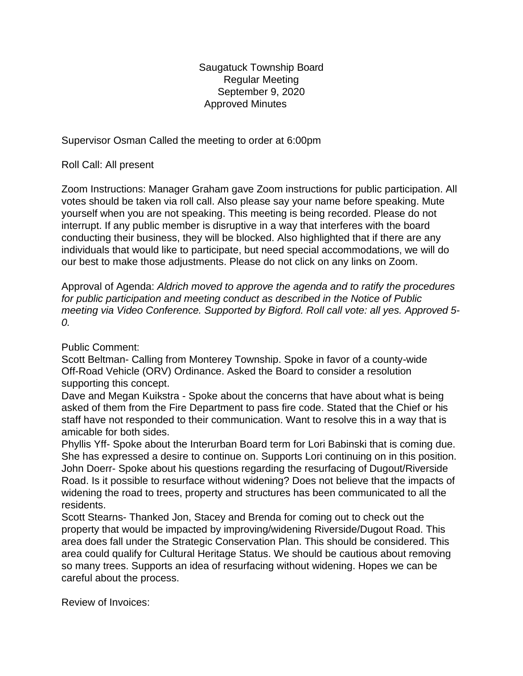Saugatuck Township Board Regular Meeting September 9, 2020 Approved Minutes

Supervisor Osman Called the meeting to order at 6:00pm

Roll Call: All present

Zoom Instructions: Manager Graham gave Zoom instructions for public participation. All votes should be taken via roll call. Also please say your name before speaking. Mute yourself when you are not speaking. This meeting is being recorded. Please do not interrupt. If any public member is disruptive in a way that interferes with the board conducting their business, they will be blocked. Also highlighted that if there are any individuals that would like to participate, but need special accommodations, we will do our best to make those adjustments. Please do not click on any links on Zoom.

Approval of Agenda: *Aldrich moved to approve the agenda and to ratify the procedures for public participation and meeting conduct as described in the Notice of Public meeting via Video Conference. Supported by Bigford. Roll call vote: all yes. Approved 5- 0.*

## Public Comment:

Scott Beltman- Calling from Monterey Township. Spoke in favor of a county-wide Off-Road Vehicle (ORV) Ordinance. Asked the Board to consider a resolution supporting this concept.

Dave and Megan Kuikstra - Spoke about the concerns that have about what is being asked of them from the Fire Department to pass fire code. Stated that the Chief or his staff have not responded to their communication. Want to resolve this in a way that is amicable for both sides.

Phyllis Yff- Spoke about the Interurban Board term for Lori Babinski that is coming due. She has expressed a desire to continue on. Supports Lori continuing on in this position. John Doerr- Spoke about his questions regarding the resurfacing of Dugout/Riverside Road. Is it possible to resurface without widening? Does not believe that the impacts of widening the road to trees, property and structures has been communicated to all the residents.

Scott Stearns- Thanked Jon, Stacey and Brenda for coming out to check out the property that would be impacted by improving/widening Riverside/Dugout Road. This area does fall under the Strategic Conservation Plan. This should be considered. This area could qualify for Cultural Heritage Status. We should be cautious about removing so many trees. Supports an idea of resurfacing without widening. Hopes we can be careful about the process.

Review of Invoices: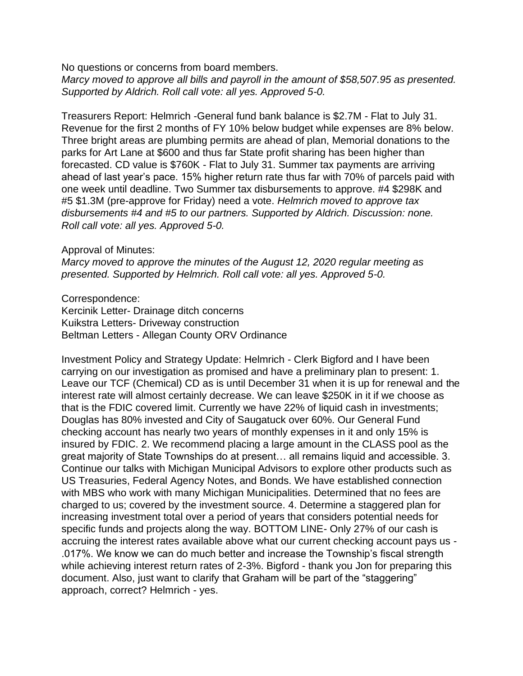No questions or concerns from board members.

*Marcy moved to approve all bills and payroll in the amount of \$58,507.95 as presented. Supported by Aldrich. Roll call vote: all yes. Approved 5-0.*

Treasurers Report: Helmrich -General fund bank balance is \$2.7M - Flat to July 31. Revenue for the first 2 months of FY 10% below budget while expenses are 8% below. Three bright areas are plumbing permits are ahead of plan, Memorial donations to the parks for Art Lane at \$600 and thus far State profit sharing has been higher than forecasted. CD value is \$760K - Flat to July 31. Summer tax payments are arriving ahead of last year's pace. 15% higher return rate thus far with 70% of parcels paid with one week until deadline. Two Summer tax disbursements to approve. #4 \$298K and #5 \$1.3M (pre-approve for Friday) need a vote. *Helmrich moved to approve tax disbursements #4 and #5 to our partners. Supported by Aldrich. Discussion: none. Roll call vote: all yes. Approved 5-0.*

## Approval of Minutes:

*Marcy moved to approve the minutes of the August 12, 2020 regular meeting as presented. Supported by Helmrich. Roll call vote: all yes. Approved 5-0.*

Correspondence: Kercinik Letter- Drainage ditch concerns Kuikstra Letters- Driveway construction Beltman Letters - Allegan County ORV Ordinance

Investment Policy and Strategy Update: Helmrich - Clerk Bigford and I have been carrying on our investigation as promised and have a preliminary plan to present: 1. Leave our TCF (Chemical) CD as is until December 31 when it is up for renewal and the interest rate will almost certainly decrease. We can leave \$250K in it if we choose as that is the FDIC covered limit. Currently we have 22% of liquid cash in investments; Douglas has 80% invested and City of Saugatuck over 60%. Our General Fund checking account has nearly two years of monthly expenses in it and only 15% is insured by FDIC. 2. We recommend placing a large amount in the CLASS pool as the great majority of State Townships do at present… all remains liquid and accessible. 3. Continue our talks with Michigan Municipal Advisors to explore other products such as US Treasuries, Federal Agency Notes, and Bonds. We have established connection with MBS who work with many Michigan Municipalities. Determined that no fees are charged to us; covered by the investment source. 4. Determine a staggered plan for increasing investment total over a period of years that considers potential needs for specific funds and projects along the way. BOTTOM LINE- Only 27% of our cash is accruing the interest rates available above what our current checking account pays us - .017%. We know we can do much better and increase the Township's fiscal strength while achieving interest return rates of 2-3%. Bigford - thank you Jon for preparing this document. Also, just want to clarify that Graham will be part of the "staggering" approach, correct? Helmrich - yes.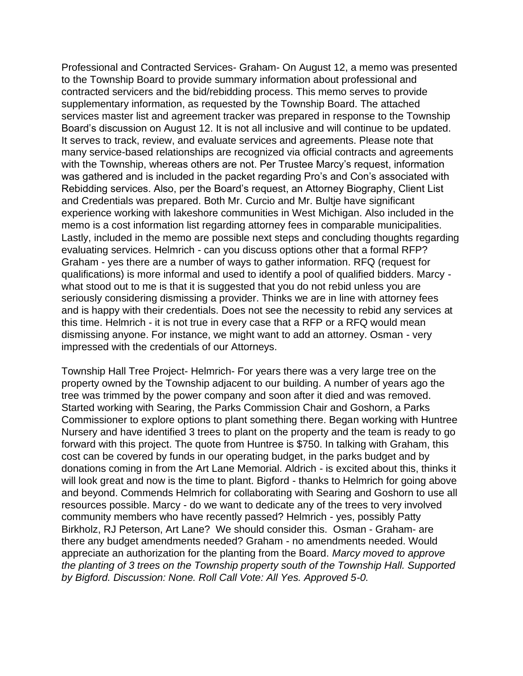Professional and Contracted Services- Graham- On August 12, a memo was presented to the Township Board to provide summary information about professional and contracted servicers and the bid/rebidding process. This memo serves to provide supplementary information, as requested by the Township Board. The attached services master list and agreement tracker was prepared in response to the Township Board's discussion on August 12. It is not all inclusive and will continue to be updated. It serves to track, review, and evaluate services and agreements. Please note that many service-based relationships are recognized via official contracts and agreements with the Township, whereas others are not. Per Trustee Marcy's request, information was gathered and is included in the packet regarding Pro's and Con's associated with Rebidding services. Also, per the Board's request, an Attorney Biography, Client List and Credentials was prepared. Both Mr. Curcio and Mr. Bultje have significant experience working with lakeshore communities in West Michigan. Also included in the memo is a cost information list regarding attorney fees in comparable municipalities. Lastly, included in the memo are possible next steps and concluding thoughts regarding evaluating services. Helmrich - can you discuss options other that a formal RFP? Graham - yes there are a number of ways to gather information. RFQ (request for qualifications) is more informal and used to identify a pool of qualified bidders. Marcy what stood out to me is that it is suggested that you do not rebid unless you are seriously considering dismissing a provider. Thinks we are in line with attorney fees and is happy with their credentials. Does not see the necessity to rebid any services at this time. Helmrich - it is not true in every case that a RFP or a RFQ would mean dismissing anyone. For instance, we might want to add an attorney. Osman - very impressed with the credentials of our Attorneys.

Township Hall Tree Project- Helmrich- For years there was a very large tree on the property owned by the Township adjacent to our building. A number of years ago the tree was trimmed by the power company and soon after it died and was removed. Started working with Searing, the Parks Commission Chair and Goshorn, a Parks Commissioner to explore options to plant something there. Began working with Huntree Nursery and have identified 3 trees to plant on the property and the team is ready to go forward with this project. The quote from Huntree is \$750. In talking with Graham, this cost can be covered by funds in our operating budget, in the parks budget and by donations coming in from the Art Lane Memorial. Aldrich - is excited about this, thinks it will look great and now is the time to plant. Bigford - thanks to Helmrich for going above and beyond. Commends Helmrich for collaborating with Searing and Goshorn to use all resources possible. Marcy - do we want to dedicate any of the trees to very involved community members who have recently passed? Helmrich - yes, possibly Patty Birkholz, RJ Peterson, Art Lane? We should consider this. Osman - Graham- are there any budget amendments needed? Graham - no amendments needed. Would appreciate an authorization for the planting from the Board. *Marcy moved to approve the planting of 3 trees on the Township property south of the Township Hall. Supported by Bigford. Discussion: None. Roll Call Vote: All Yes. Approved 5-0.*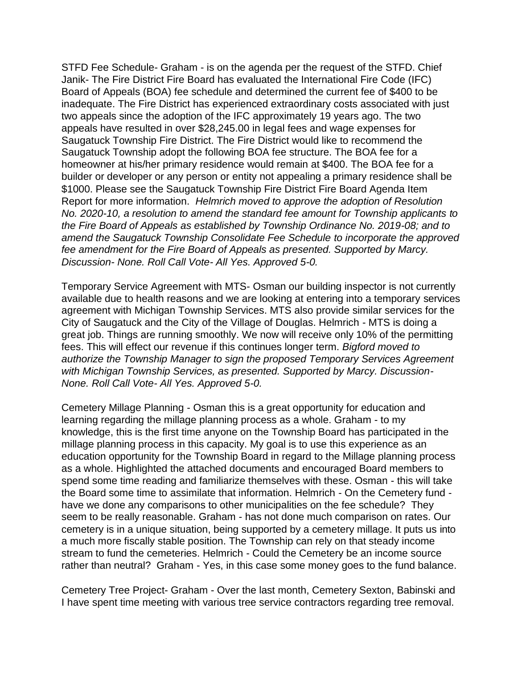STFD Fee Schedule- Graham - is on the agenda per the request of the STFD. Chief Janik- The Fire District Fire Board has evaluated the International Fire Code (IFC) Board of Appeals (BOA) fee schedule and determined the current fee of \$400 to be inadequate. The Fire District has experienced extraordinary costs associated with just two appeals since the adoption of the IFC approximately 19 years ago. The two appeals have resulted in over \$28,245.00 in legal fees and wage expenses for Saugatuck Township Fire District. The Fire District would like to recommend the Saugatuck Township adopt the following BOA fee structure. The BOA fee for a homeowner at his/her primary residence would remain at \$400. The BOA fee for a builder or developer or any person or entity not appealing a primary residence shall be \$1000. Please see the Saugatuck Township Fire District Fire Board Agenda Item Report for more information. *Helmrich moved to approve the adoption of Resolution No. 2020-10, a resolution to amend the standard fee amount for Township applicants to the Fire Board of Appeals as established by Township Ordinance No. 2019-08; and to amend the Saugatuck Township Consolidate Fee Schedule to incorporate the approved fee amendment for the Fire Board of Appeals as presented. Supported by Marcy. Discussion- None. Roll Call Vote- All Yes. Approved 5-0.*

Temporary Service Agreement with MTS- Osman our building inspector is not currently available due to health reasons and we are looking at entering into a temporary services agreement with Michigan Township Services. MTS also provide similar services for the City of Saugatuck and the City of the Village of Douglas. Helmrich - MTS is doing a great job. Things are running smoothly. We now will receive only 10% of the permitting fees. This will effect our revenue if this continues longer term. *Bigford moved to authorize the Township Manager to sign the proposed Temporary Services Agreement with Michigan Township Services, as presented. Supported by Marcy. Discussion-None. Roll Call Vote- All Yes. Approved 5-0.*

Cemetery Millage Planning - Osman this is a great opportunity for education and learning regarding the millage planning process as a whole. Graham - to my knowledge, this is the first time anyone on the Township Board has participated in the millage planning process in this capacity. My goal is to use this experience as an education opportunity for the Township Board in regard to the Millage planning process as a whole. Highlighted the attached documents and encouraged Board members to spend some time reading and familiarize themselves with these. Osman - this will take the Board some time to assimilate that information. Helmrich - On the Cemetery fund have we done any comparisons to other municipalities on the fee schedule? They seem to be really reasonable. Graham - has not done much comparison on rates. Our cemetery is in a unique situation, being supported by a cemetery millage. It puts us into a much more fiscally stable position. The Township can rely on that steady income stream to fund the cemeteries. Helmrich - Could the Cemetery be an income source rather than neutral? Graham - Yes, in this case some money goes to the fund balance.

Cemetery Tree Project- Graham - Over the last month, Cemetery Sexton, Babinski and I have spent time meeting with various tree service contractors regarding tree removal.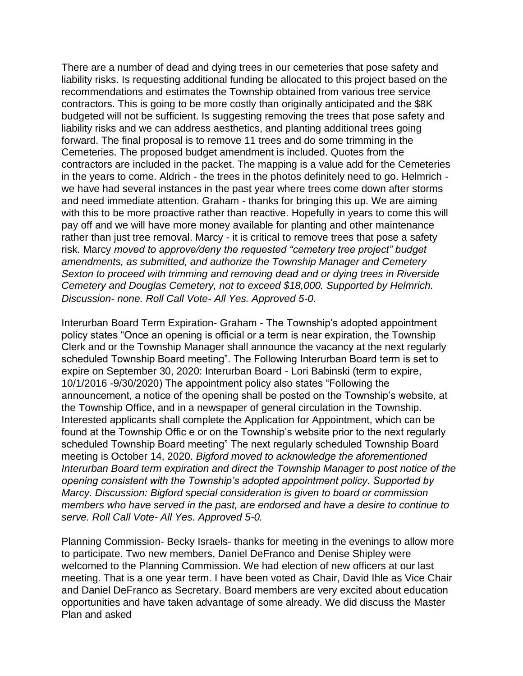There are a number of dead and dying trees in our cemeteries that pose safety and liability risks. Is requesting additional funding be allocated to this project based on the recommendations and estimates the Township obtained from various tree service contractors. This is going to be more costly than originally anticipated and the \$8K budgeted will not be sufficient. Is suggesting removing the trees that pose safety and liability risks and we can address aesthetics, and planting additional trees going forward. The final proposal is to remove 11 trees and do some trimming in the Cemeteries. The proposed budget amendment is included. Quotes from the contractors are included in the packet. The mapping is a value add for the Cemeteries in the years to come. Aldrich - the trees in the photos definitely need to go. Helmrich we have had several instances in the past year where trees come down after storms and need immediate attention. Graham - thanks for bringing this up. We are aiming with this to be more proactive rather than reactive. Hopefully in years to come this will pay off and we will have more money available for planting and other maintenance rather than just tree removal. Marcy - it is critical to remove trees that pose a safety risk. Marcy *moved to approve/deny the requested "cemetery tree project" budget amendments, as submitted, and authorize the Township Manager and Cemetery Sexton to proceed with trimming and removing dead and or dying trees in Riverside Cemetery and Douglas Cemetery, not to exceed \$18,000. Supported by Helmrich. Discussion- none. Roll Call Vote- All Yes. Approved 5-0.*

Interurban Board Term Expiration- Graham - The Township's adopted appointment policy states "Once an opening is official or a term is near expiration, the Township Clerk and or the Township Manager shall announce the vacancy at the next regularly scheduled Township Board meeting". The Following Interurban Board term is set to expire on September 30, 2020: Interurban Board - Lori Babinski (term to expire, 10/1/2016 -9/30/2020) The appointment policy also states "Following the announcement, a notice of the opening shall be posted on the Township's website, at the Township Office, and in a newspaper of general circulation in the Township. Interested applicants shall complete the Application for Appointment, which can be found at the Township Offic e or on the Township's website prior to the next regularly scheduled Township Board meeting" The next regularly scheduled Township Board meeting is October 14, 2020. *Bigford moved to acknowledge the aforementioned Interurban Board term expiration and direct the Township Manager to post notice of the opening consistent with the Township's adopted appointment policy. Supported by Marcy. Discussion: Bigford special consideration is given to board or commission members who have served in the past, are endorsed and have a desire to continue to serve. Roll Call Vote- All Yes. Approved 5-0.*

Planning Commission- Becky Israels- thanks for meeting in the evenings to allow more to participate. Two new members, Daniel DeFranco and Denise Shipley were welcomed to the Planning Commission. We had election of new officers at our last meeting. That is a one year term. I have been voted as Chair, David Ihle as Vice Chair and Daniel DeFranco as Secretary. Board members are very excited about education opportunities and have taken advantage of some already. We did discuss the Master Plan and asked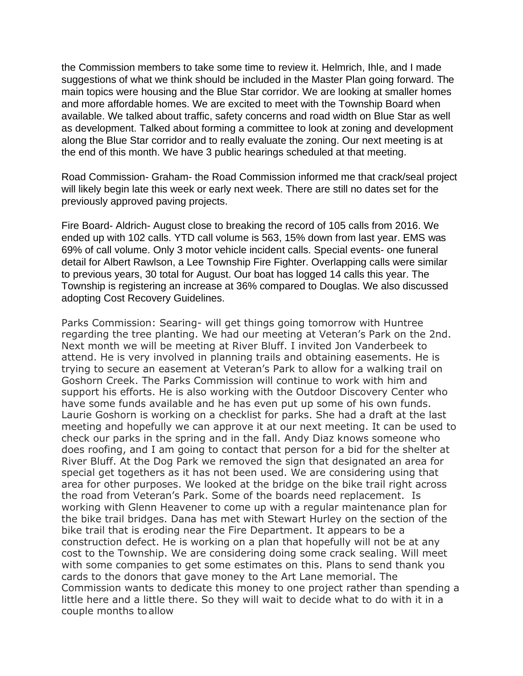the Commission members to take some time to review it. Helmrich, Ihle, and I made suggestions of what we think should be included in the Master Plan going forward. The main topics were housing and the Blue Star corridor. We are looking at smaller homes and more affordable homes. We are excited to meet with the Township Board when available. We talked about traffic, safety concerns and road width on Blue Star as well as development. Talked about forming a committee to look at zoning and development along the Blue Star corridor and to really evaluate the zoning. Our next meeting is at the end of this month. We have 3 public hearings scheduled at that meeting.

Road Commission- Graham- the Road Commission informed me that crack/seal project will likely begin late this week or early next week. There are still no dates set for the previously approved paving projects.

Fire Board- Aldrich- August close to breaking the record of 105 calls from 2016. We ended up with 102 calls. YTD call volume is 563, 15% down from last year. EMS was 69% of call volume. Only 3 motor vehicle incident calls. Special events- one funeral detail for Albert Rawlson, a Lee Township Fire Fighter. Overlapping calls were similar to previous years, 30 total for August. Our boat has logged 14 calls this year. The Township is registering an increase at 36% compared to Douglas. We also discussed adopting Cost Recovery Guidelines.

Parks Commission: Searing- will get things going tomorrow with Huntree regarding the tree planting. We had our meeting at Veteran's Park on the 2nd. Next month we will be meeting at River Bluff. I invited Jon Vanderbeek to attend. He is very involved in planning trails and obtaining easements. He is trying to secure an easement at Veteran's Park to allow for a walking trail on Goshorn Creek. The Parks Commission will continue to work with him and support his efforts. He is also working with the Outdoor Discovery Center who have some funds available and he has even put up some of his own funds. Laurie Goshorn is working on a checklist for parks. She had a draft at the last meeting and hopefully we can approve it at our next meeting. It can be used to check our parks in the spring and in the fall. Andy Diaz knows someone who does roofing, and I am going to contact that person for a bid for the shelter at River Bluff. At the Dog Park we removed the sign that designated an area for special get togethers as it has not been used. We are considering using that area for other purposes. We looked at the bridge on the bike trail right across the road from Veteran's Park. Some of the boards need replacement. Is working with Glenn Heavener to come up with a regular maintenance plan for the bike trail bridges. Dana has met with Stewart Hurley on the section of the bike trail that is eroding near the Fire Department. It appears to be a construction defect. He is working on a plan that hopefully will not be at any cost to the Township. We are considering doing some crack sealing. Will meet with some companies to get some estimates on this. Plans to send thank you cards to the donors that gave money to the Art Lane memorial. The Commission wants to dedicate this money to one project rather than spending a little here and a little there. So they will wait to decide what to do with it in a couple months toallow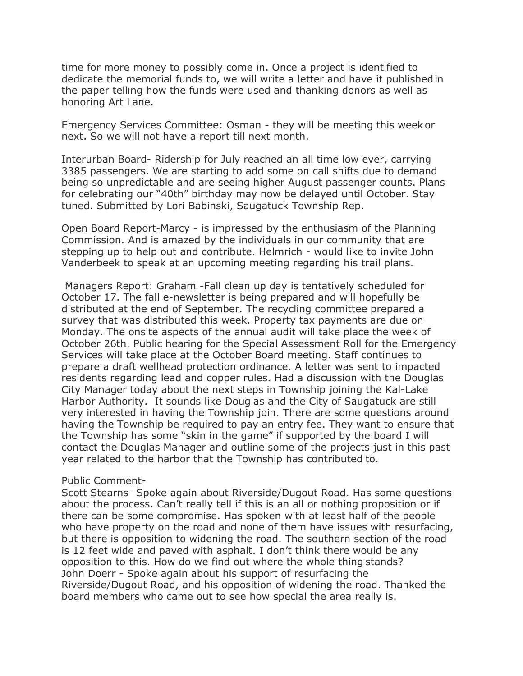time for more money to possibly come in. Once a project is identified to dedicate the memorial funds to, we will write a letter and have it publishedin the paper telling how the funds were used and thanking donors as well as honoring Art Lane.

Emergency Services Committee: Osman - they will be meeting this weekor next. So we will not have a report till next month.

Interurban Board- Ridership for July reached an all time low ever, carrying 3385 passengers. We are starting to add some on call shifts due to demand being so unpredictable and are seeing higher August passenger counts. Plans for celebrating our "40th" birthday may now be delayed until October. Stay tuned. Submitted by Lori Babinski, Saugatuck Township Rep.

Open Board Report-Marcy - is impressed by the enthusiasm of the Planning Commission. And is amazed by the individuals in our community that are stepping up to help out and contribute. Helmrich - would like to invite John Vanderbeek to speak at an upcoming meeting regarding his trail plans.

Managers Report: Graham -Fall clean up day is tentatively scheduled for October 17. The fall e-newsletter is being prepared and will hopefully be distributed at the end of September. The recycling committee prepared a survey that was distributed this week. Property tax payments are due on Monday. The onsite aspects of the annual audit will take place the week of October 26th. Public hearing for the Special Assessment Roll for the Emergency Services will take place at the October Board meeting. Staff continues to prepare a draft wellhead protection ordinance. A letter was sent to impacted residents regarding lead and copper rules. Had a discussion with the Douglas City Manager today about the next steps in Township joining the Kal-Lake Harbor Authority. It sounds like Douglas and the City of Saugatuck are still very interested in having the Township join. There are some questions around having the Township be required to pay an entry fee. They want to ensure that the Township has some "skin in the game" if supported by the board I will contact the Douglas Manager and outline some of the projects just in this past year related to the harbor that the Township has contributed to.

## Public Comment-

Scott Stearns- Spoke again about Riverside/Dugout Road. Has some questions about the process. Can't really tell if this is an all or nothing proposition or if there can be some compromise. Has spoken with at least half of the people who have property on the road and none of them have issues with resurfacing, but there is opposition to widening the road. The southern section of the road is 12 feet wide and paved with asphalt. I don't think there would be any opposition to this. How do we find out where the whole thing stands? John Doerr - Spoke again about his support of resurfacing the Riverside/Dugout Road, and his opposition of widening the road. Thanked the board members who came out to see how special the area really is.